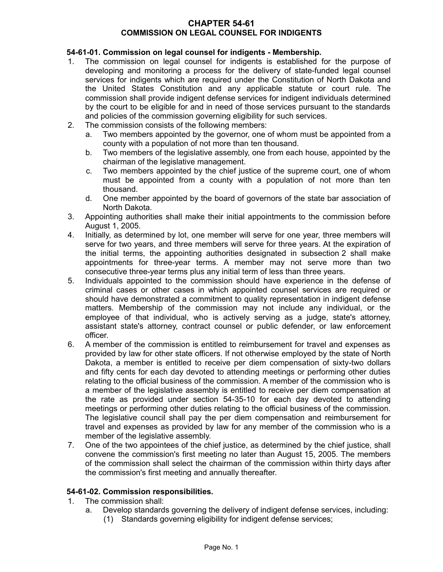#### **CHAPTER 54-61 COMMISSION ON LEGAL COUNSEL FOR INDIGENTS**

# **54-61-01. Commission on legal counsel for indigents - Membership.**

- 1. The commission on legal counsel for indigents is established for the purpose of developing and monitoring a process for the delivery of state-funded legal counsel services for indigents which are required under the Constitution of North Dakota and the United States Constitution and any applicable statute or court rule. The commission shall provide indigent defense services for indigent individuals determined by the court to be eligible for and in need of those services pursuant to the standards and policies of the commission governing eligibility for such services.
- 2. The commission consists of the following members:
	- a. Two members appointed by the governor, one of whom must be appointed from a county with a population of not more than ten thousand.
	- b. Two members of the legislative assembly, one from each house, appointed by the chairman of the legislative management.
	- c. Two members appointed by the chief justice of the supreme court, one of whom must be appointed from a county with a population of not more than ten thousand.
	- d. One member appointed by the board of governors of the state bar association of North Dakota.
- 3. Appointing authorities shall make their initial appointments to the commission before August 1, 2005.
- 4. Initially, as determined by lot, one member will serve for one year, three members will serve for two years, and three members will serve for three years. At the expiration of the initial terms, the appointing authorities designated in subsection 2 shall make appointments for three-year terms. A member may not serve more than two consecutive three-year terms plus any initial term of less than three years.
- 5. Individuals appointed to the commission should have experience in the defense of criminal cases or other cases in which appointed counsel services are required or should have demonstrated a commitment to quality representation in indigent defense matters. Membership of the commission may not include any individual, or the employee of that individual, who is actively serving as a judge, state's attorney, assistant state's attorney, contract counsel or public defender, or law enforcement officer.
- 6. A member of the commission is entitled to reimbursement for travel and expenses as provided by law for other state officers. If not otherwise employed by the state of North Dakota, a member is entitled to receive per diem compensation of sixty-two dollars and fifty cents for each day devoted to attending meetings or performing other duties relating to the official business of the commission. A member of the commission who is a member of the legislative assembly is entitled to receive per diem compensation at the rate as provided under section 54-35-10 for each day devoted to attending meetings or performing other duties relating to the official business of the commission. The legislative council shall pay the per diem compensation and reimbursement for travel and expenses as provided by law for any member of the commission who is a member of the legislative assembly.
- 7. One of the two appointees of the chief justice, as determined by the chief justice, shall convene the commission's first meeting no later than August 15, 2005. The members of the commission shall select the chairman of the commission within thirty days after the commission's first meeting and annually thereafter.

# **54-61-02. Commission responsibilities.**

- 1. The commission shall:
	- a. Develop standards governing the delivery of indigent defense services, including:
		- (1) Standards governing eligibility for indigent defense services;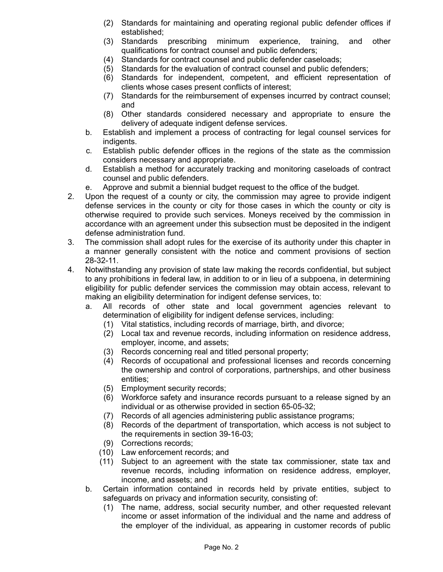- (2) Standards for maintaining and operating regional public defender offices if established;
- (3) Standards prescribing minimum experience, training, and other qualifications for contract counsel and public defenders;
- (4) Standards for contract counsel and public defender caseloads;
- (5) Standards for the evaluation of contract counsel and public defenders;
- (6) Standards for independent, competent, and efficient representation of clients whose cases present conflicts of interest;
- (7) Standards for the reimbursement of expenses incurred by contract counsel; and
- (8) Other standards considered necessary and appropriate to ensure the delivery of adequate indigent defense services.
- b. Establish and implement a process of contracting for legal counsel services for indigents.
- c. Establish public defender offices in the regions of the state as the commission considers necessary and appropriate.
- d. Establish a method for accurately tracking and monitoring caseloads of contract counsel and public defenders.
- e. Approve and submit a biennial budget request to the office of the budget.
- 2. Upon the request of a county or city, the commission may agree to provide indigent defense services in the county or city for those cases in which the county or city is otherwise required to provide such services. Moneys received by the commission in accordance with an agreement under this subsection must be deposited in the indigent defense administration fund.
- 3. The commission shall adopt rules for the exercise of its authority under this chapter in a manner generally consistent with the notice and comment provisions of section 28-32-11.
- 4. Notwithstanding any provision of state law making the records confidential, but subject to any prohibitions in federal law, in addition to or in lieu of a subpoena, in determining eligibility for public defender services the commission may obtain access, relevant to making an eligibility determination for indigent defense services, to:
	- a. All records of other state and local government agencies relevant to determination of eligibility for indigent defense services, including:
		- (1) Vital statistics, including records of marriage, birth, and divorce;
		- (2) Local tax and revenue records, including information on residence address, employer, income, and assets;
		- (3) Records concerning real and titled personal property;
		- (4) Records of occupational and professional licenses and records concerning the ownership and control of corporations, partnerships, and other business entities;
		- (5) Employment security records;
		- (6) Workforce safety and insurance records pursuant to a release signed by an individual or as otherwise provided in section 65-05-32;
		- (7) Records of all agencies administering public assistance programs;
		- (8) Records of the department of transportation, which access is not subject to the requirements in section 39-16-03;
		- (9) Corrections records;
		- (10) Law enforcement records; and
		- (11) Subject to an agreement with the state tax commissioner, state tax and revenue records, including information on residence address, employer, income, and assets; and
	- b. Certain information contained in records held by private entities, subject to safeguards on privacy and information security, consisting of:
		- (1) The name, address, social security number, and other requested relevant income or asset information of the individual and the name and address of the employer of the individual, as appearing in customer records of public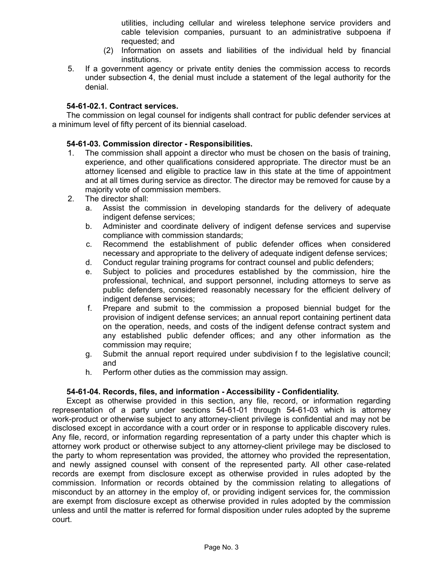utilities, including cellular and wireless telephone service providers and cable television companies, pursuant to an administrative subpoena if requested; and

- (2) Information on assets and liabilities of the individual held by financial institutions.
- 5. If a government agency or private entity denies the commission access to records under subsection 4, the denial must include a statement of the legal authority for the denial.

## **54-61-02.1. Contract services.**

The commission on legal counsel for indigents shall contract for public defender services at a minimum level of fifty percent of its biennial caseload.

### **54-61-03. Commission director - Responsibilities.**

- 1. The commission shall appoint a director who must be chosen on the basis of training, experience, and other qualifications considered appropriate. The director must be an attorney licensed and eligible to practice law in this state at the time of appointment and at all times during service as director. The director may be removed for cause by a majority vote of commission members.
- 2. The director shall:
	- a. Assist the commission in developing standards for the delivery of adequate indigent defense services;
	- b. Administer and coordinate delivery of indigent defense services and supervise compliance with commission standards;
	- c. Recommend the establishment of public defender offices when considered necessary and appropriate to the delivery of adequate indigent defense services;
	- d. Conduct regular training programs for contract counsel and public defenders;
	- e. Subject to policies and procedures established by the commission, hire the professional, technical, and support personnel, including attorneys to serve as public defenders, considered reasonably necessary for the efficient delivery of indigent defense services;
	- f. Prepare and submit to the commission a proposed biennial budget for the provision of indigent defense services; an annual report containing pertinent data on the operation, needs, and costs of the indigent defense contract system and any established public defender offices; and any other information as the commission may require;
	- g. Submit the annual report required under subdivision f to the legislative council; and
	- h. Perform other duties as the commission may assign.

# **54-61-04. Records, files, and information - Accessibility - Confidentiality.**

Except as otherwise provided in this section, any file, record, or information regarding representation of a party under sections 54-61-01 through 54-61-03 which is attorney work-product or otherwise subject to any attorney-client privilege is confidential and may not be disclosed except in accordance with a court order or in response to applicable discovery rules. Any file, record, or information regarding representation of a party under this chapter which is attorney work product or otherwise subject to any attorney-client privilege may be disclosed to the party to whom representation was provided, the attorney who provided the representation, and newly assigned counsel with consent of the represented party. All other case-related records are exempt from disclosure except as otherwise provided in rules adopted by the commission. Information or records obtained by the commission relating to allegations of misconduct by an attorney in the employ of, or providing indigent services for, the commission are exempt from disclosure except as otherwise provided in rules adopted by the commission unless and until the matter is referred for formal disposition under rules adopted by the supreme court.